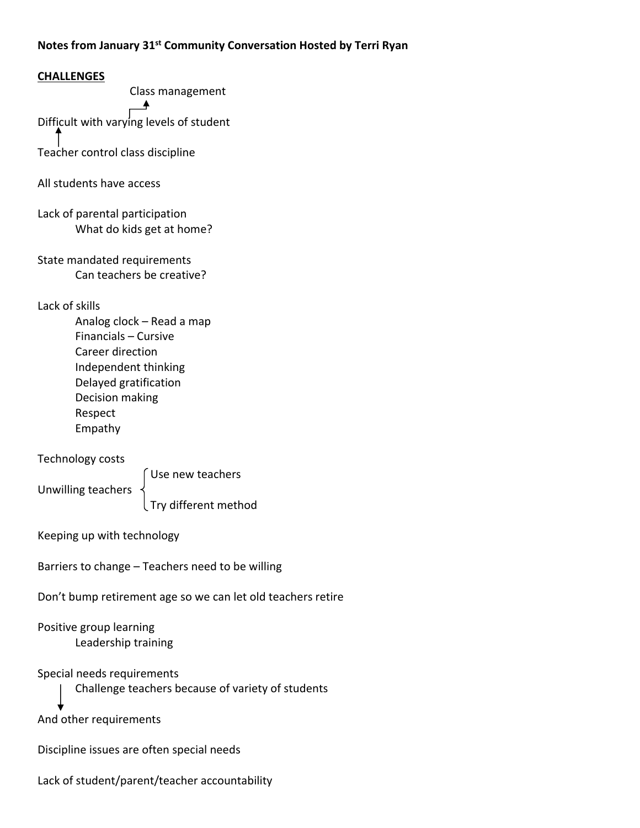# **Notes from January 31st Community Conversation Hosted by Terri Ryan**

## **CHALLENGES**

Class management

Difficult with varying levels of student

Teacher control class discipline

All students have access

Lack of parental participation What do kids get at home?

State mandated requirements Can teachers be creative?

Lack of skills

Analog clock – Read a map Financials – Cursive Career direction Independent thinking Delayed gratification Decision making Respect Empathy

Technology costs

Use new teachers

Unwilling teachers

Try different method

Keeping up with technology

Barriers to change – Teachers need to be willing

Don't bump retirement age so we can let old teachers retire

Positive group learning Leadership training

Special needs requirements

Challenge teachers because of variety of students

And other requirements

Discipline issues are often special needs

Lack of student/parent/teacher accountability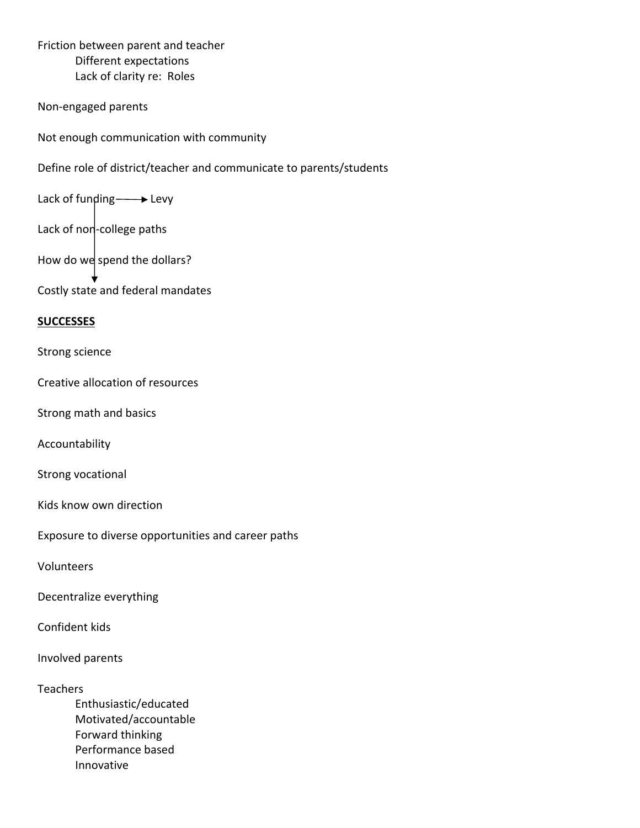Friction between parent and teacher Different expectations Lack of clarity re: Roles

Non‐engaged parents

Not enough communication with community

Define role of district/teacher and communicate to parents/students

Lack of funding  $\longrightarrow$  Levy

Lack of non-college paths

How do we spend the dollars?

Costly state and federal mandates

### **SUCCESSES**

Strong science

Creative allocation of resources

Strong math and basics

Accountability

Strong vocational

Kids know own direction

Exposure to diverse opportunities and career paths

Volunteers

Decentralize everything

Confident kids

Involved parents

#### Teachers

Enthusiastic/educated Motivated/accountable Forward thinking Performance based Innovative